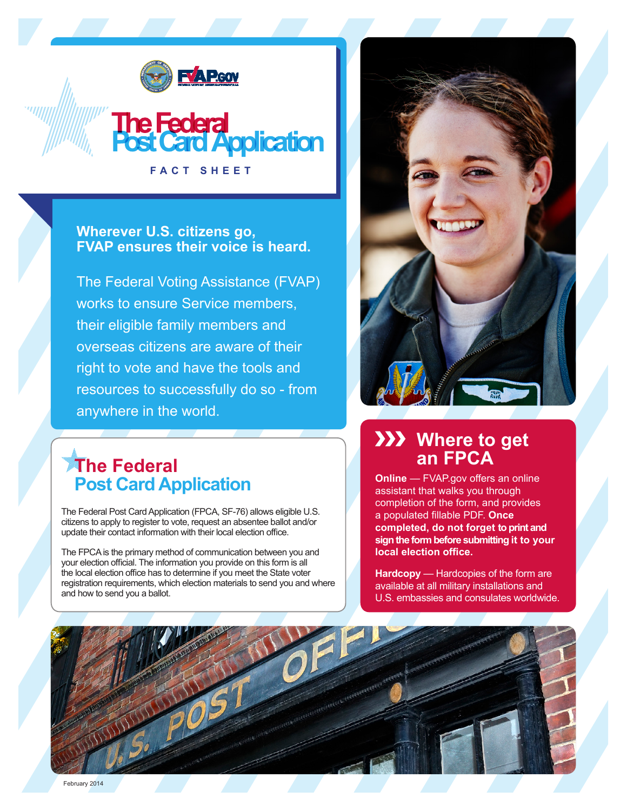

**The Federal<br>Post Card Application** 

**Wherever U.S. citizens go, FVAP ensures their voice is heard.**

**FACT SHEET**

The Federal Voting Assistance (FVAP) works to ensure Service members, their eligible family members and overseas citizens are aware of their right to vote and have the tools and resources to successfully do so - from anywhere in the world.

# **The Federal Post Card Application**

The Federal Post Card Application (FPCA, SF-76) allows eligible U.S. citizens to apply to register to vote, request an absentee ballot and/or update their contact information with their local election office.

The FPCA is the primary method of communication between you and your election official. The information you provide on this form is all the local election office has to determine if you meet the State voter registration requirements, which election materials to send you and where and how to send you a ballot.



## **XXX** Where to get **an FPCA**

**Online** — FVAP.gov offers an online assistant that walks you through completion of the form, and provides a populated fillable PDF. **Once completed, do not forget to print and sign the form before submitting it to your local election office.**

**Hardcopy** — Hardcopies of the form are available at all military installations and U.S. embassies and consulates worldwide.